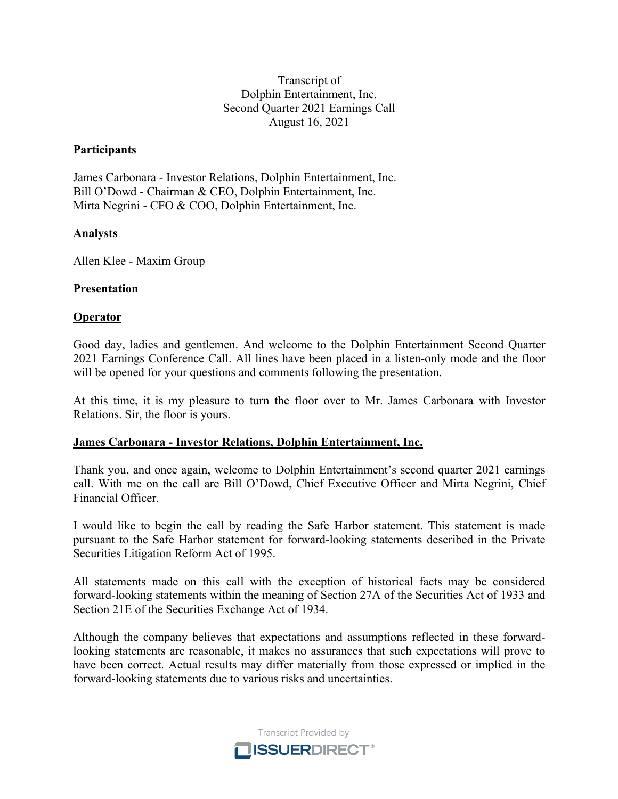#### Transcript of Dolphin Entertainment, Inc. Second Quarter 2021 Earnings Call August 16, 2021

#### **Participants**

James Carbonara - Investor Relations, Dolphin Entertainment, Inc. Bill O'Dowd - Chairman & CEO, Dolphin Entertainment, Inc. Mirta Negrini - CFO & COO, Dolphin Entertainment, Inc.

#### **Analysts**

Allen Klee - Maxim Group

#### **Presentation**

#### **Operator**

Good day, ladies and gentlemen. And welcome to the Dolphin Entertainment Second Quarter 2021 Earnings Conference Call. All lines have been placed in a listen-only mode and the floor will be opened for your questions and comments following the presentation.

At this time, it is my pleasure to turn the floor over to Mr. James Carbonara with Investor Relations. Sir, the floor is yours.

#### **James Carbonara - Investor Relations, Dolphin Entertainment, Inc.**

Thank you, and once again, welcome to Dolphin Entertainment's second quarter 2021 earnings call. With me on the call are Bill O'Dowd, Chief Executive Officer and Mirta Negrini, Chief Financial Officer.

I would like to begin the call by reading the Safe Harbor statement. This statement is made pursuant to the Safe Harbor statement for forward-looking statements described in the Private Securities Litigation Reform Act of 1995.

All statements made on this call with the exception of historical facts may be considered forward-looking statements within the meaning of Section 27A of the Securities Act of 1933 and Section 21E of the Securities Exchange Act of 1934.

Although the company believes that expectations and assumptions reflected in these forwardlooking statements are reasonable, it makes no assurances that such expectations will prove to have been correct. Actual results may differ materially from those expressed or implied in the forward-looking statements due to various risks and uncertainties.

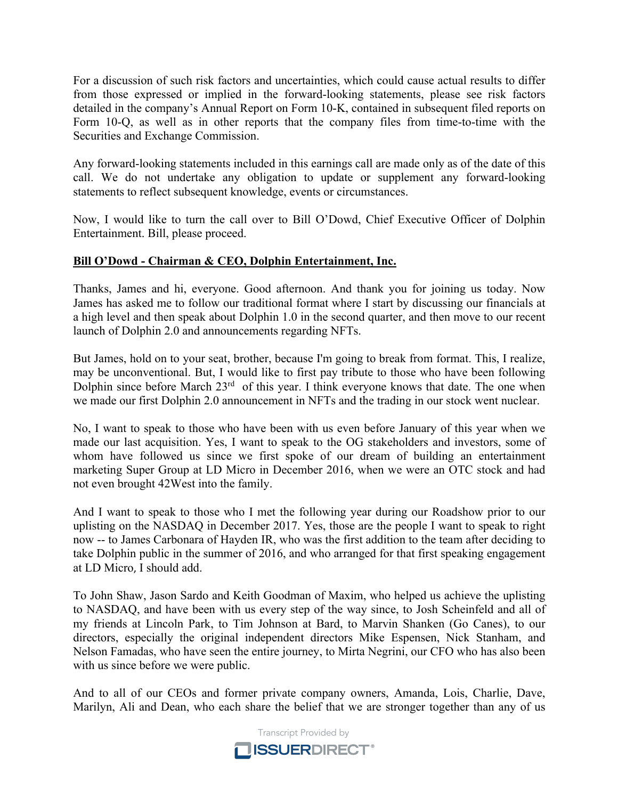For a discussion of such risk factors and uncertainties, which could cause actual results to differ from those expressed or implied in the forward-looking statements, please see risk factors detailed in the company's Annual Report on Form 10-K, contained in subsequent filed reports on Form 10-Q, as well as in other reports that the company files from time-to-time with the Securities and Exchange Commission.

Any forward-looking statements included in this earnings call are made only as of the date of this call. We do not undertake any obligation to update or supplement any forward-looking statements to reflect subsequent knowledge, events or circumstances.

Now, I would like to turn the call over to Bill O'Dowd, Chief Executive Officer of Dolphin Entertainment. Bill, please proceed.

# **Bill O'Dowd - Chairman & CEO, Dolphin Entertainment, Inc.**

Thanks, James and hi, everyone. Good afternoon. And thank you for joining us today. Now James has asked me to follow our traditional format where I start by discussing our financials at a high level and then speak about Dolphin 1.0 in the second quarter, and then move to our recent launch of Dolphin 2.0 and announcements regarding NFTs.

But James, hold on to your seat, brother, because I'm going to break from format. This, I realize, may be unconventional. But, I would like to first pay tribute to those who have been following Dolphin since before March 23<sup>rd</sup> of this year. I think everyone knows that date. The one when we made our first Dolphin 2.0 announcement in NFTs and the trading in our stock went nuclear.

No, I want to speak to those who have been with us even before January of this year when we made our last acquisition. Yes, I want to speak to the OG stakeholders and investors, some of whom have followed us since we first spoke of our dream of building an entertainment marketing Super Group at LD Micro in December 2016, when we were an OTC stock and had not even brought 42West into the family.

And I want to speak to those who I met the following year during our Roadshow prior to our uplisting on the NASDAQ in December 2017. Yes, those are the people I want to speak to right now -- to James Carbonara of Hayden IR, who was the first addition to the team after deciding to take Dolphin public in the summer of 2016, and who arranged for that first speaking engagement at LD Micro, I should add.

To John Shaw, Jason Sardo and Keith Goodman of Maxim, who helped us achieve the uplisting to NASDAQ, and have been with us every step of the way since, to Josh Scheinfeld and all of my friends at Lincoln Park, to Tim Johnson at Bard, to Marvin Shanken (Go Canes), to our directors, especially the original independent directors Mike Espensen, Nick Stanham, and Nelson Famadas, who have seen the entire journey, to Mirta Negrini, our CFO who has also been with us since before we were public.

And to all of our CEOs and former private company owners, Amanda, Lois, Charlie, Dave, Marilyn, Ali and Dean, who each share the belief that we are stronger together than any of us

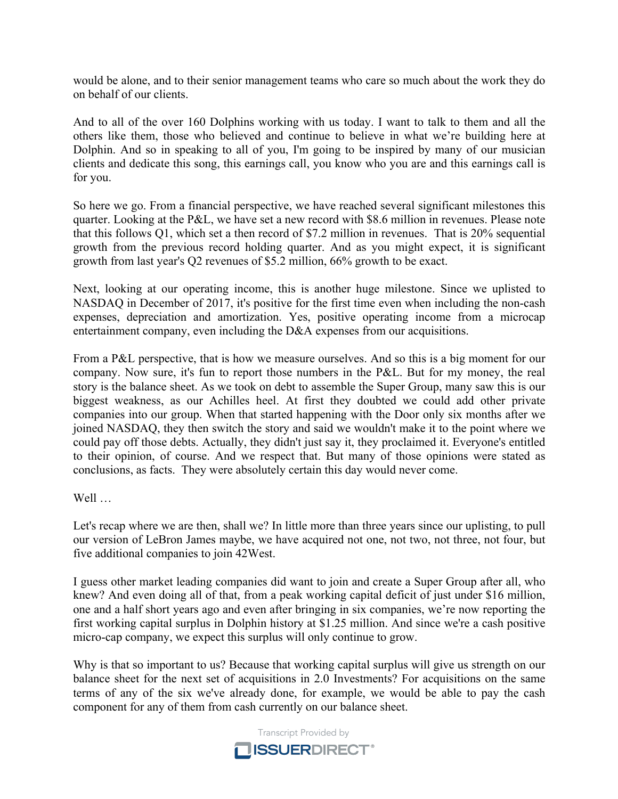would be alone, and to their senior management teams who care so much about the work they do on behalf of our clients.

And to all of the over 160 Dolphins working with us today. I want to talk to them and all the others like them, those who believed and continue to believe in what we're building here at Dolphin. And so in speaking to all of you, I'm going to be inspired by many of our musician clients and dedicate this song, this earnings call, you know who you are and this earnings call is for you.

So here we go. From a financial perspective, we have reached several significant milestones this quarter. Looking at the P&L, we have set a new record with \$8.6 million in revenues. Please note that this follows Q1, which set a then record of \$7.2 million in revenues. That is 20% sequential growth from the previous record holding quarter. And as you might expect, it is significant growth from last year's Q2 revenues of \$5.2 million, 66% growth to be exact.

Next, looking at our operating income, this is another huge milestone. Since we uplisted to NASDAQ in December of 2017, it's positive for the first time even when including the non-cash expenses, depreciation and amortization. Yes, positive operating income from a microcap entertainment company, even including the D&A expenses from our acquisitions.

From a P&L perspective, that is how we measure ourselves. And so this is a big moment for our company. Now sure, it's fun to report those numbers in the P&L. But for my money, the real story is the balance sheet. As we took on debt to assemble the Super Group, many saw this is our biggest weakness, as our Achilles heel. At first they doubted we could add other private companies into our group. When that started happening with the Door only six months after we joined NASDAQ, they then switch the story and said we wouldn't make it to the point where we could pay off those debts. Actually, they didn't just say it, they proclaimed it. Everyone's entitled to their opinion, of course. And we respect that. But many of those opinions were stated as conclusions, as facts. They were absolutely certain this day would never come.

Well …

Let's recap where we are then, shall we? In little more than three years since our uplisting, to pull our version of LeBron James maybe, we have acquired not one, not two, not three, not four, but five additional companies to join 42West.

I guess other market leading companies did want to join and create a Super Group after all, who knew? And even doing all of that, from a peak working capital deficit of just under \$16 million, one and a half short years ago and even after bringing in six companies, we're now reporting the first working capital surplus in Dolphin history at \$1.25 million. And since we're a cash positive micro-cap company, we expect this surplus will only continue to grow.

Why is that so important to us? Because that working capital surplus will give us strength on our balance sheet for the next set of acquisitions in 2.0 Investments? For acquisitions on the same terms of any of the six we've already done, for example, we would be able to pay the cash component for any of them from cash currently on our balance sheet.

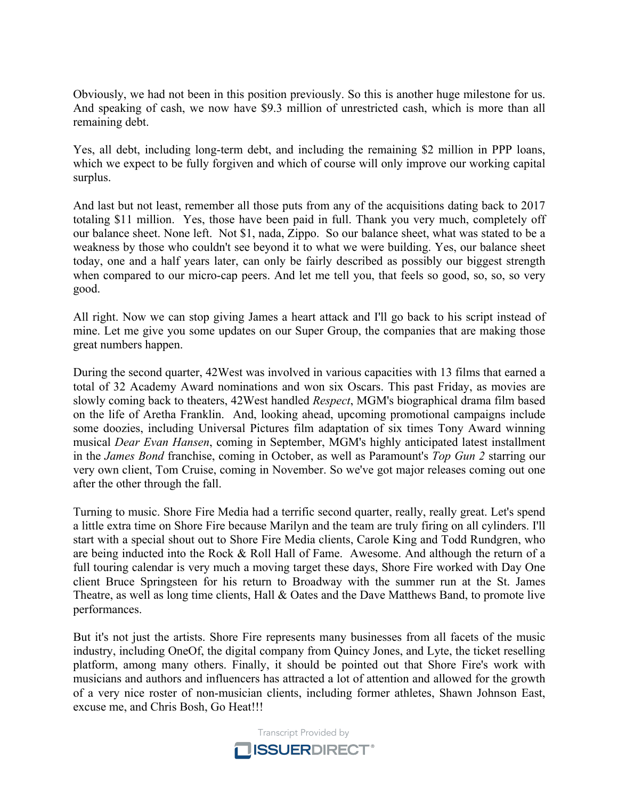Obviously, we had not been in this position previously. So this is another huge milestone for us. And speaking of cash, we now have \$9.3 million of unrestricted cash, which is more than all remaining debt.

Yes, all debt, including long-term debt, and including the remaining \$2 million in PPP loans, which we expect to be fully forgiven and which of course will only improve our working capital surplus.

And last but not least, remember all those puts from any of the acquisitions dating back to 2017 totaling \$11 million. Yes, those have been paid in full. Thank you very much, completely off our balance sheet. None left. Not \$1, nada, Zippo. So our balance sheet, what was stated to be a weakness by those who couldn't see beyond it to what we were building. Yes, our balance sheet today, one and a half years later, can only be fairly described as possibly our biggest strength when compared to our micro-cap peers. And let me tell you, that feels so good, so, so, so very good.

All right. Now we can stop giving James a heart attack and I'll go back to his script instead of mine. Let me give you some updates on our Super Group, the companies that are making those great numbers happen.

During the second quarter, 42West was involved in various capacities with 13 films that earned a total of 32 Academy Award nominations and won six Oscars. This past Friday, as movies are slowly coming back to theaters, 42West handled *Respect*, MGM's biographical drama film based on the life of Aretha Franklin. And, looking ahead, upcoming promotional campaigns include some doozies, including Universal Pictures film adaptation of six times Tony Award winning musical *Dear Evan Hansen*, coming in September, MGM's highly anticipated latest installment in the *James Bond* franchise, coming in October, as well as Paramount's *Top Gun 2* starring our very own client, Tom Cruise, coming in November. So we've got major releases coming out one after the other through the fall.

Turning to music. Shore Fire Media had a terrific second quarter, really, really great. Let's spend a little extra time on Shore Fire because Marilyn and the team are truly firing on all cylinders. I'll start with a special shout out to Shore Fire Media clients, Carole King and Todd Rundgren, who are being inducted into the Rock & Roll Hall of Fame. Awesome. And although the return of a full touring calendar is very much a moving target these days, Shore Fire worked with Day One client Bruce Springsteen for his return to Broadway with the summer run at the St. James Theatre, as well as long time clients, Hall & Oates and the Dave Matthews Band, to promote live performances.

But it's not just the artists. Shore Fire represents many businesses from all facets of the music industry, including OneOf, the digital company from Quincy Jones, and Lyte, the ticket reselling platform, among many others. Finally, it should be pointed out that Shore Fire's work with musicians and authors and influencers has attracted a lot of attention and allowed for the growth of a very nice roster of non-musician clients, including former athletes, Shawn Johnson East, excuse me, and Chris Bosh, Go Heat!!!

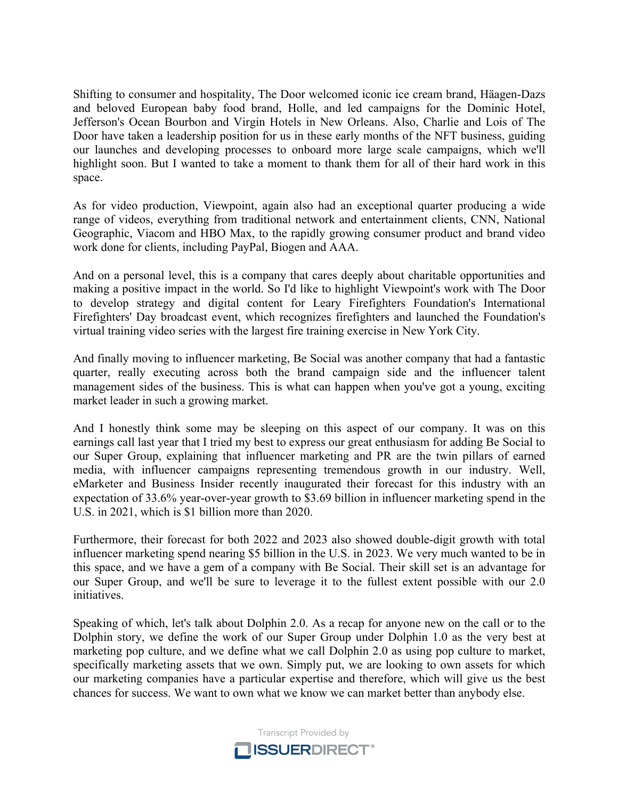Shifting to consumer and hospitality, The Door welcomed iconic ice cream brand, Häagen-Dazs and beloved European baby food brand, Holle, and led campaigns for the Dominic Hotel, Jefferson's Ocean Bourbon and Virgin Hotels in New Orleans. Also, Charlie and Lois of The Door have taken a leadership position for us in these early months of the NFT business, guiding our launches and developing processes to onboard more large scale campaigns, which we'll highlight soon. But I wanted to take a moment to thank them for all of their hard work in this space.

As for video production, Viewpoint, again also had an exceptional quarter producing a wide range of videos, everything from traditional network and entertainment clients, CNN, National Geographic, Viacom and HBO Max, to the rapidly growing consumer product and brand video work done for clients, including PayPal, Biogen and AAA.

And on a personal level, this is a company that cares deeply about charitable opportunities and making a positive impact in the world. So I'd like to highlight Viewpoint's work with The Door to develop strategy and digital content for Leary Firefighters Foundation's International Firefighters' Day broadcast event, which recognizes firefighters and launched the Foundation's virtual training video series with the largest fire training exercise in New York City.

And finally moving to influencer marketing, Be Social was another company that had a fantastic quarter, really executing across both the brand campaign side and the influencer talent management sides of the business. This is what can happen when you've got a young, exciting market leader in such a growing market.

And I honestly think some may be sleeping on this aspect of our company. It was on this earnings call last year that I tried my best to express our great enthusiasm for adding Be Social to our Super Group, explaining that influencer marketing and PR are the twin pillars of earned media, with influencer campaigns representing tremendous growth in our industry. Well, eMarketer and Business Insider recently inaugurated their forecast for this industry with an expectation of 33.6% year-over-year growth to \$3.69 billion in influencer marketing spend in the U.S. in 2021, which is \$1 billion more than 2020.

Furthermore, their forecast for both 2022 and 2023 also showed double-digit growth with total influencer marketing spend nearing \$5 billion in the U.S. in 2023. We very much wanted to be in this space, and we have a gem of a company with Be Social. Their skill set is an advantage for our Super Group, and we'll be sure to leverage it to the fullest extent possible with our 2.0 initiatives.

Speaking of which, let's talk about Dolphin 2.0. As a recap for anyone new on the call or to the Dolphin story, we define the work of our Super Group under Dolphin 1.0 as the very best at marketing pop culture, and we define what we call Dolphin 2.0 as using pop culture to market, specifically marketing assets that we own. Simply put, we are looking to own assets for which our marketing companies have a particular expertise and therefore, which will give us the best chances for success. We want to own what we know we can market better than anybody else.

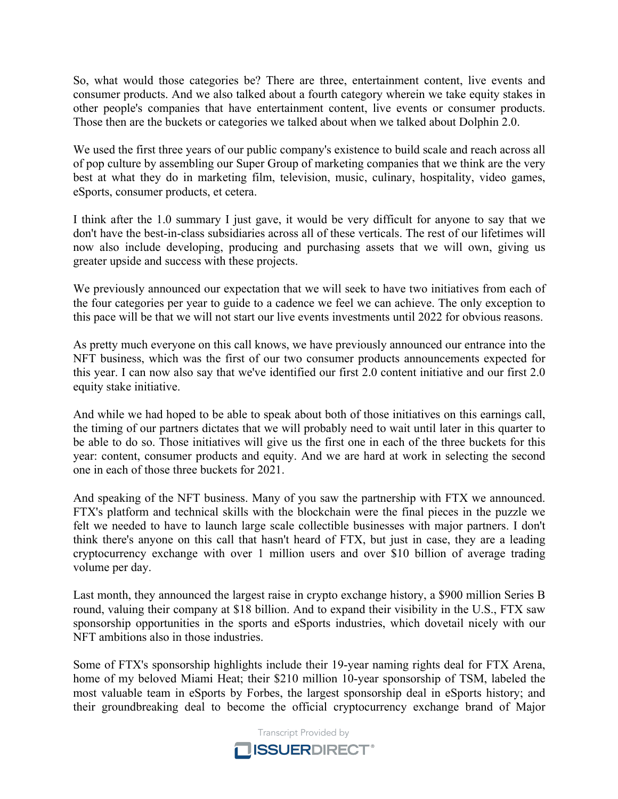So, what would those categories be? There are three, entertainment content, live events and consumer products. And we also talked about a fourth category wherein we take equity stakes in other people's companies that have entertainment content, live events or consumer products. Those then are the buckets or categories we talked about when we talked about Dolphin 2.0.

We used the first three years of our public company's existence to build scale and reach across all of pop culture by assembling our Super Group of marketing companies that we think are the very best at what they do in marketing film, television, music, culinary, hospitality, video games, eSports, consumer products, et cetera.

I think after the 1.0 summary I just gave, it would be very difficult for anyone to say that we don't have the best-in-class subsidiaries across all of these verticals. The rest of our lifetimes will now also include developing, producing and purchasing assets that we will own, giving us greater upside and success with these projects.

We previously announced our expectation that we will seek to have two initiatives from each of the four categories per year to guide to a cadence we feel we can achieve. The only exception to this pace will be that we will not start our live events investments until 2022 for obvious reasons.

As pretty much everyone on this call knows, we have previously announced our entrance into the NFT business, which was the first of our two consumer products announcements expected for this year. I can now also say that we've identified our first 2.0 content initiative and our first 2.0 equity stake initiative.

And while we had hoped to be able to speak about both of those initiatives on this earnings call, the timing of our partners dictates that we will probably need to wait until later in this quarter to be able to do so. Those initiatives will give us the first one in each of the three buckets for this year: content, consumer products and equity. And we are hard at work in selecting the second one in each of those three buckets for 2021.

And speaking of the NFT business. Many of you saw the partnership with FTX we announced. FTX's platform and technical skills with the blockchain were the final pieces in the puzzle we felt we needed to have to launch large scale collectible businesses with major partners. I don't think there's anyone on this call that hasn't heard of FTX, but just in case, they are a leading cryptocurrency exchange with over 1 million users and over \$10 billion of average trading volume per day.

Last month, they announced the largest raise in crypto exchange history, a \$900 million Series B round, valuing their company at \$18 billion. And to expand their visibility in the U.S., FTX saw sponsorship opportunities in the sports and eSports industries, which dovetail nicely with our NFT ambitions also in those industries.

Some of FTX's sponsorship highlights include their 19-year naming rights deal for FTX Arena, home of my beloved Miami Heat; their \$210 million 10-year sponsorship of TSM, labeled the most valuable team in eSports by Forbes, the largest sponsorship deal in eSports history; and their groundbreaking deal to become the official cryptocurrency exchange brand of Major

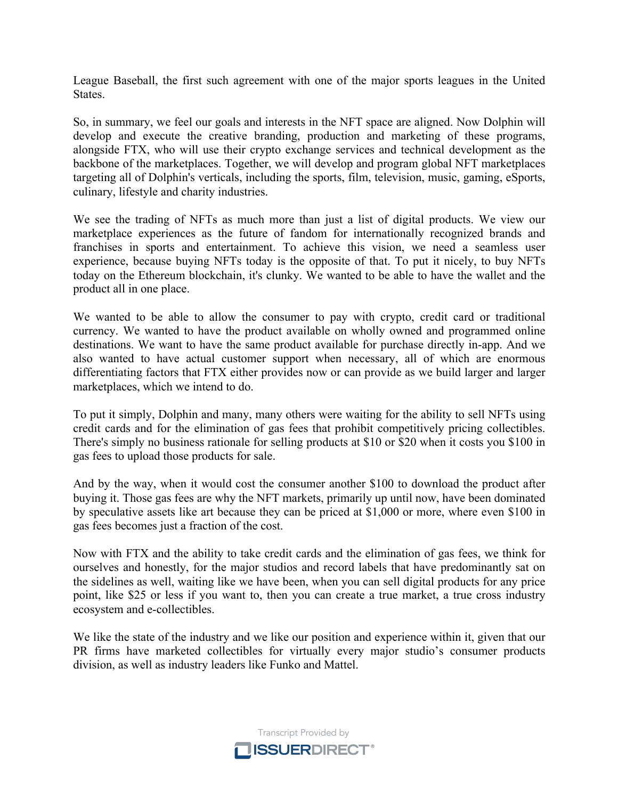League Baseball, the first such agreement with one of the major sports leagues in the United States.

So, in summary, we feel our goals and interests in the NFT space are aligned. Now Dolphin will develop and execute the creative branding, production and marketing of these programs, alongside FTX, who will use their crypto exchange services and technical development as the backbone of the marketplaces. Together, we will develop and program global NFT marketplaces targeting all of Dolphin's verticals, including the sports, film, television, music, gaming, eSports, culinary, lifestyle and charity industries.

We see the trading of NFTs as much more than just a list of digital products. We view our marketplace experiences as the future of fandom for internationally recognized brands and franchises in sports and entertainment. To achieve this vision, we need a seamless user experience, because buying NFTs today is the opposite of that. To put it nicely, to buy NFTs today on the Ethereum blockchain, it's clunky. We wanted to be able to have the wallet and the product all in one place.

We wanted to be able to allow the consumer to pay with crypto, credit card or traditional currency. We wanted to have the product available on wholly owned and programmed online destinations. We want to have the same product available for purchase directly in-app. And we also wanted to have actual customer support when necessary, all of which are enormous differentiating factors that FTX either provides now or can provide as we build larger and larger marketplaces, which we intend to do.

To put it simply, Dolphin and many, many others were waiting for the ability to sell NFTs using credit cards and for the elimination of gas fees that prohibit competitively pricing collectibles. There's simply no business rationale for selling products at \$10 or \$20 when it costs you \$100 in gas fees to upload those products for sale.

And by the way, when it would cost the consumer another \$100 to download the product after buying it. Those gas fees are why the NFT markets, primarily up until now, have been dominated by speculative assets like art because they can be priced at \$1,000 or more, where even \$100 in gas fees becomes just a fraction of the cost.

Now with FTX and the ability to take credit cards and the elimination of gas fees, we think for ourselves and honestly, for the major studios and record labels that have predominantly sat on the sidelines as well, waiting like we have been, when you can sell digital products for any price point, like \$25 or less if you want to, then you can create a true market, a true cross industry ecosystem and e-collectibles.

We like the state of the industry and we like our position and experience within it, given that our PR firms have marketed collectibles for virtually every major studio's consumer products division, as well as industry leaders like Funko and Mattel.

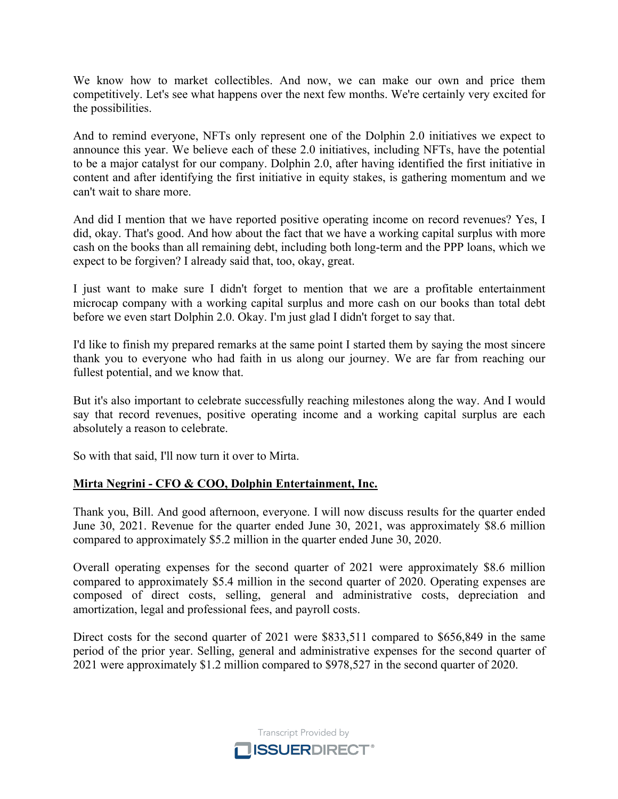We know how to market collectibles. And now, we can make our own and price them competitively. Let's see what happens over the next few months. We're certainly very excited for the possibilities.

And to remind everyone, NFTs only represent one of the Dolphin 2.0 initiatives we expect to announce this year. We believe each of these 2.0 initiatives, including NFTs, have the potential to be a major catalyst for our company. Dolphin 2.0, after having identified the first initiative in content and after identifying the first initiative in equity stakes, is gathering momentum and we can't wait to share more.

And did I mention that we have reported positive operating income on record revenues? Yes, I did, okay. That's good. And how about the fact that we have a working capital surplus with more cash on the books than all remaining debt, including both long-term and the PPP loans, which we expect to be forgiven? I already said that, too, okay, great.

I just want to make sure I didn't forget to mention that we are a profitable entertainment microcap company with a working capital surplus and more cash on our books than total debt before we even start Dolphin 2.0. Okay. I'm just glad I didn't forget to say that.

I'd like to finish my prepared remarks at the same point I started them by saying the most sincere thank you to everyone who had faith in us along our journey. We are far from reaching our fullest potential, and we know that.

But it's also important to celebrate successfully reaching milestones along the way. And I would say that record revenues, positive operating income and a working capital surplus are each absolutely a reason to celebrate.

So with that said, I'll now turn it over to Mirta.

# **Mirta Negrini - CFO & COO, Dolphin Entertainment, Inc.**

Thank you, Bill. And good afternoon, everyone. I will now discuss results for the quarter ended June 30, 2021. Revenue for the quarter ended June 30, 2021, was approximately \$8.6 million compared to approximately \$5.2 million in the quarter ended June 30, 2020.

Overall operating expenses for the second quarter of 2021 were approximately \$8.6 million compared to approximately \$5.4 million in the second quarter of 2020. Operating expenses are composed of direct costs, selling, general and administrative costs, depreciation and amortization, legal and professional fees, and payroll costs.

Direct costs for the second quarter of 2021 were \$833,511 compared to \$656,849 in the same period of the prior year. Selling, general and administrative expenses for the second quarter of 2021 were approximately \$1.2 million compared to \$978,527 in the second quarter of 2020.

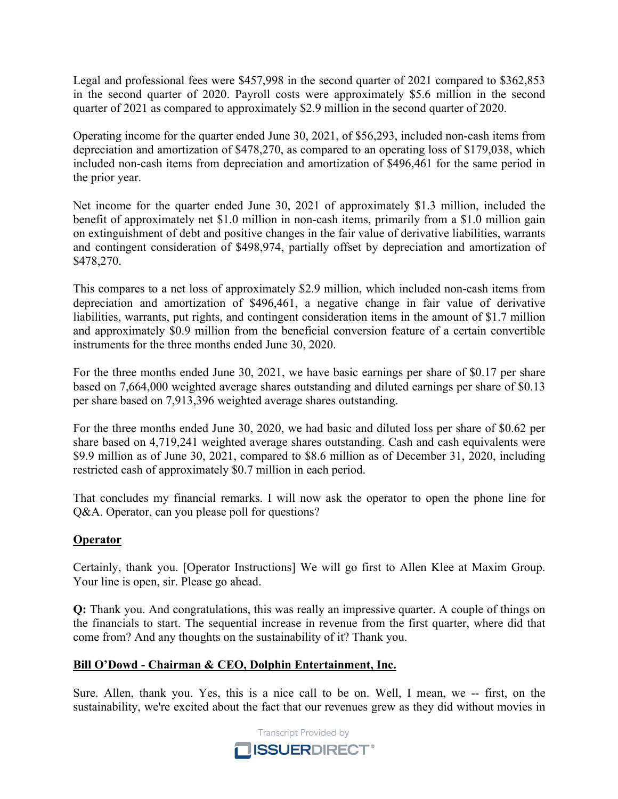Legal and professional fees were \$457,998 in the second quarter of 2021 compared to \$362,853 in the second quarter of 2020. Payroll costs were approximately \$5.6 million in the second quarter of 2021 as compared to approximately \$2.9 million in the second quarter of 2020.

Operating income for the quarter ended June 30, 2021, of \$56,293, included non-cash items from depreciation and amortization of \$478,270, as compared to an operating loss of \$179,038, which included non-cash items from depreciation and amortization of \$496,461 for the same period in the prior year.

Net income for the quarter ended June 30, 2021 of approximately \$1.3 million, included the benefit of approximately net \$1.0 million in non-cash items, primarily from a \$1.0 million gain on extinguishment of debt and positive changes in the fair value of derivative liabilities, warrants and contingent consideration of \$498,974, partially offset by depreciation and amortization of \$478,270.

This compares to a net loss of approximately \$2.9 million, which included non-cash items from depreciation and amortization of \$496,461, a negative change in fair value of derivative liabilities, warrants, put rights, and contingent consideration items in the amount of \$1.7 million and approximately \$0.9 million from the beneficial conversion feature of a certain convertible instruments for the three months ended June 30, 2020.

For the three months ended June 30, 2021, we have basic earnings per share of \$0.17 per share based on 7,664,000 weighted average shares outstanding and diluted earnings per share of \$0.13 per share based on 7,913,396 weighted average shares outstanding.

For the three months ended June 30, 2020, we had basic and diluted loss per share of \$0.62 per share based on 4,719,241 weighted average shares outstanding. Cash and cash equivalents were \$9.9 million as of June 30, 2021, compared to \$8.6 million as of December 31, 2020, including restricted cash of approximately \$0.7 million in each period.

That concludes my financial remarks. I will now ask the operator to open the phone line for Q&A. Operator, can you please poll for questions?

# **Operator**

Certainly, thank you. [Operator Instructions] We will go first to Allen Klee at Maxim Group. Your line is open, sir. Please go ahead.

**Q:** Thank you. And congratulations, this was really an impressive quarter. A couple of things on the financials to start. The sequential increase in revenue from the first quarter, where did that come from? And any thoughts on the sustainability of it? Thank you.

# **Bill O'Dowd - Chairman & CEO, Dolphin Entertainment, Inc.**

Sure. Allen, thank you. Yes, this is a nice call to be on. Well, I mean, we -- first, on the sustainability, we're excited about the fact that our revenues grew as they did without movies in

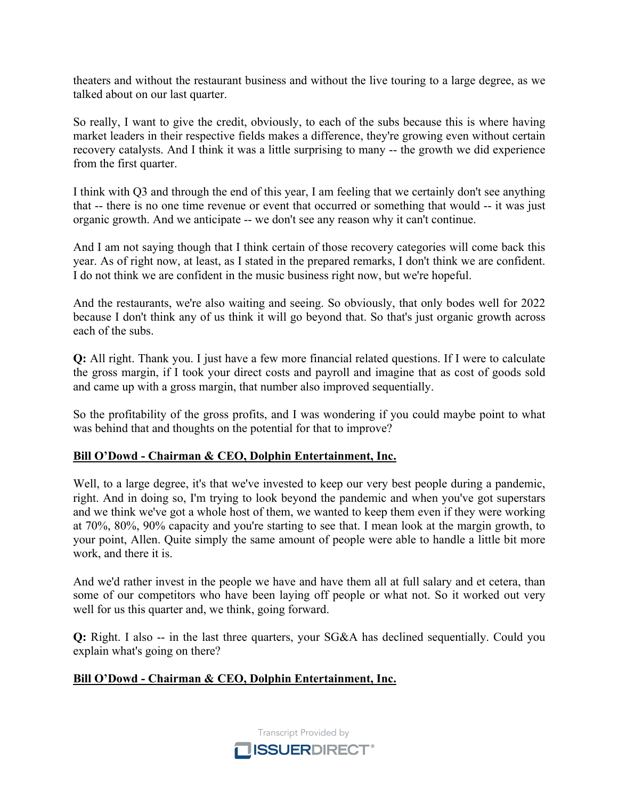theaters and without the restaurant business and without the live touring to a large degree, as we talked about on our last quarter.

So really, I want to give the credit, obviously, to each of the subs because this is where having market leaders in their respective fields makes a difference, they're growing even without certain recovery catalysts. And I think it was a little surprising to many -- the growth we did experience from the first quarter.

I think with Q3 and through the end of this year, I am feeling that we certainly don't see anything that -- there is no one time revenue or event that occurred or something that would -- it was just organic growth. And we anticipate -- we don't see any reason why it can't continue.

And I am not saying though that I think certain of those recovery categories will come back this year. As of right now, at least, as I stated in the prepared remarks, I don't think we are confident. I do not think we are confident in the music business right now, but we're hopeful.

And the restaurants, we're also waiting and seeing. So obviously, that only bodes well for 2022 because I don't think any of us think it will go beyond that. So that's just organic growth across each of the subs.

**Q:** All right. Thank you. I just have a few more financial related questions. If I were to calculate the gross margin, if I took your direct costs and payroll and imagine that as cost of goods sold and came up with a gross margin, that number also improved sequentially.

So the profitability of the gross profits, and I was wondering if you could maybe point to what was behind that and thoughts on the potential for that to improve?

# **Bill O'Dowd - Chairman & CEO, Dolphin Entertainment, Inc.**

Well, to a large degree, it's that we've invested to keep our very best people during a pandemic, right. And in doing so, I'm trying to look beyond the pandemic and when you've got superstars and we think we've got a whole host of them, we wanted to keep them even if they were working at 70%, 80%, 90% capacity and you're starting to see that. I mean look at the margin growth, to your point, Allen. Quite simply the same amount of people were able to handle a little bit more work, and there it is.

And we'd rather invest in the people we have and have them all at full salary and et cetera, than some of our competitors who have been laying off people or what not. So it worked out very well for us this quarter and, we think, going forward.

**Q:** Right. I also -- in the last three quarters, your SG&A has declined sequentially. Could you explain what's going on there?

# **Bill O'Dowd - Chairman & CEO, Dolphin Entertainment, Inc.**

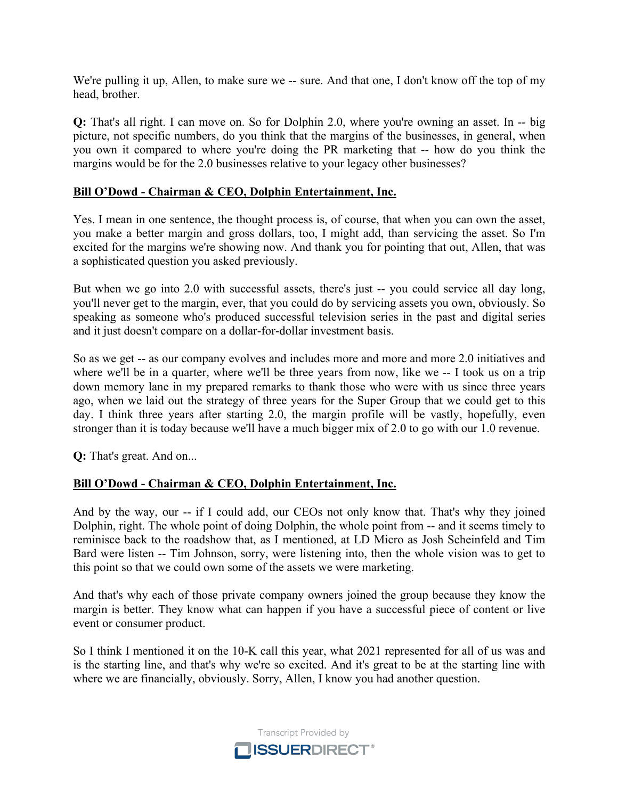We're pulling it up, Allen, to make sure we -- sure. And that one, I don't know off the top of my head, brother.

**Q:** That's all right. I can move on. So for Dolphin 2.0, where you're owning an asset. In -- big picture, not specific numbers, do you think that the margins of the businesses, in general, when you own it compared to where you're doing the PR marketing that -- how do you think the margins would be for the 2.0 businesses relative to your legacy other businesses?

#### **Bill O'Dowd - Chairman & CEO, Dolphin Entertainment, Inc.**

Yes. I mean in one sentence, the thought process is, of course, that when you can own the asset, you make a better margin and gross dollars, too, I might add, than servicing the asset. So I'm excited for the margins we're showing now. And thank you for pointing that out, Allen, that was a sophisticated question you asked previously.

But when we go into 2.0 with successful assets, there's just -- you could service all day long, you'll never get to the margin, ever, that you could do by servicing assets you own, obviously. So speaking as someone who's produced successful television series in the past and digital series and it just doesn't compare on a dollar-for-dollar investment basis.

So as we get -- as our company evolves and includes more and more and more 2.0 initiatives and where we'll be in a quarter, where we'll be three years from now, like we -- I took us on a trip down memory lane in my prepared remarks to thank those who were with us since three years ago, when we laid out the strategy of three years for the Super Group that we could get to this day. I think three years after starting 2.0, the margin profile will be vastly, hopefully, even stronger than it is today because we'll have a much bigger mix of 2.0 to go with our 1.0 revenue.

**Q:** That's great. And on...

# **Bill O'Dowd - Chairman & CEO, Dolphin Entertainment, Inc.**

And by the way, our -- if I could add, our CEOs not only know that. That's why they joined Dolphin, right. The whole point of doing Dolphin, the whole point from -- and it seems timely to reminisce back to the roadshow that, as I mentioned, at LD Micro as Josh Scheinfeld and Tim Bard were listen -- Tim Johnson, sorry, were listening into, then the whole vision was to get to this point so that we could own some of the assets we were marketing.

And that's why each of those private company owners joined the group because they know the margin is better. They know what can happen if you have a successful piece of content or live event or consumer product.

So I think I mentioned it on the 10-K call this year, what 2021 represented for all of us was and is the starting line, and that's why we're so excited. And it's great to be at the starting line with where we are financially, obviously. Sorry, Allen, I know you had another question.

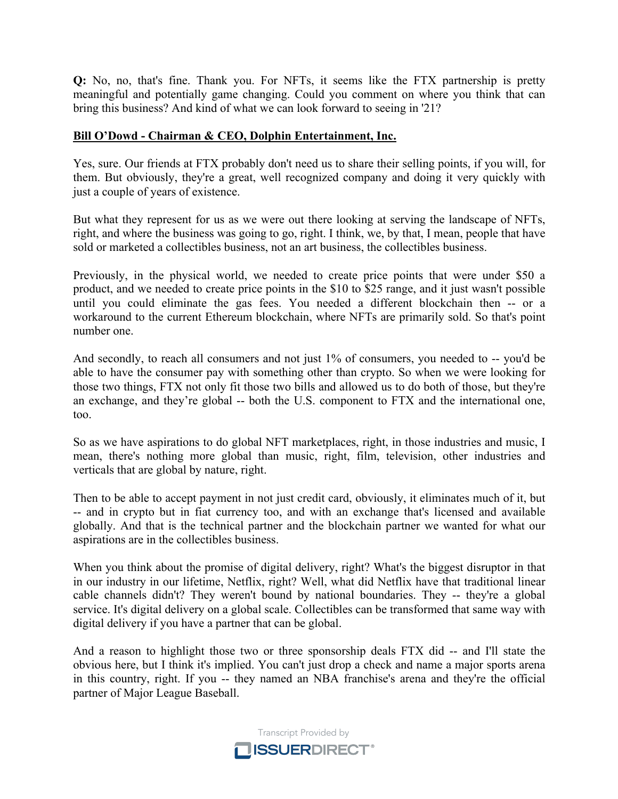**Q:** No, no, that's fine. Thank you. For NFTs, it seems like the FTX partnership is pretty meaningful and potentially game changing. Could you comment on where you think that can bring this business? And kind of what we can look forward to seeing in '21?

#### **Bill O'Dowd - Chairman & CEO, Dolphin Entertainment, Inc.**

Yes, sure. Our friends at FTX probably don't need us to share their selling points, if you will, for them. But obviously, they're a great, well recognized company and doing it very quickly with just a couple of years of existence.

But what they represent for us as we were out there looking at serving the landscape of NFTs, right, and where the business was going to go, right. I think, we, by that, I mean, people that have sold or marketed a collectibles business, not an art business, the collectibles business.

Previously, in the physical world, we needed to create price points that were under \$50 a product, and we needed to create price points in the \$10 to \$25 range, and it just wasn't possible until you could eliminate the gas fees. You needed a different blockchain then -- or a workaround to the current Ethereum blockchain, where NFTs are primarily sold. So that's point number one.

And secondly, to reach all consumers and not just 1% of consumers, you needed to -- you'd be able to have the consumer pay with something other than crypto. So when we were looking for those two things, FTX not only fit those two bills and allowed us to do both of those, but they're an exchange, and they're global -- both the U.S. component to FTX and the international one, too.

So as we have aspirations to do global NFT marketplaces, right, in those industries and music, I mean, there's nothing more global than music, right, film, television, other industries and verticals that are global by nature, right.

Then to be able to accept payment in not just credit card, obviously, it eliminates much of it, but -- and in crypto but in fiat currency too, and with an exchange that's licensed and available globally. And that is the technical partner and the blockchain partner we wanted for what our aspirations are in the collectibles business.

When you think about the promise of digital delivery, right? What's the biggest disruptor in that in our industry in our lifetime, Netflix, right? Well, what did Netflix have that traditional linear cable channels didn't? They weren't bound by national boundaries. They -- they're a global service. It's digital delivery on a global scale. Collectibles can be transformed that same way with digital delivery if you have a partner that can be global.

And a reason to highlight those two or three sponsorship deals FTX did -- and I'll state the obvious here, but I think it's implied. You can't just drop a check and name a major sports arena in this country, right. If you -- they named an NBA franchise's arena and they're the official partner of Major League Baseball.

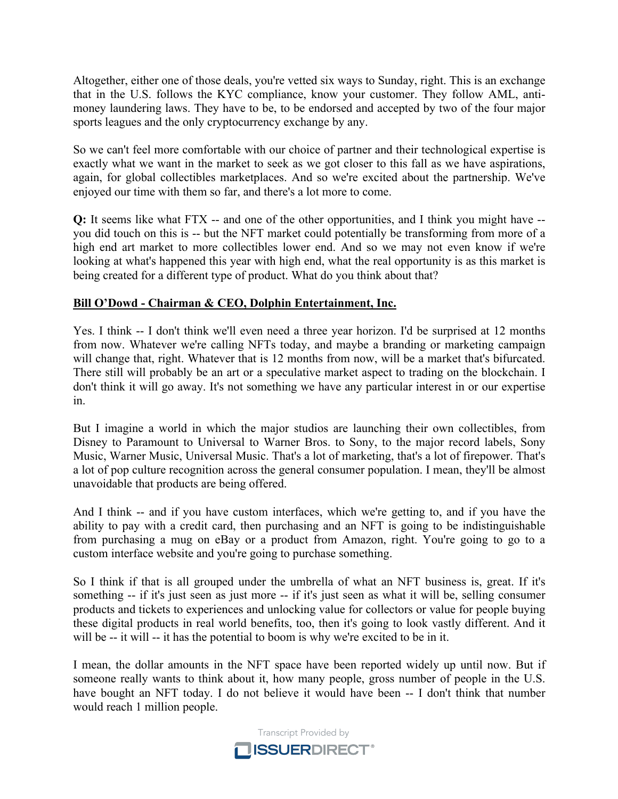Altogether, either one of those deals, you're vetted six ways to Sunday, right. This is an exchange that in the U.S. follows the KYC compliance, know your customer. They follow AML, antimoney laundering laws. They have to be, to be endorsed and accepted by two of the four major sports leagues and the only cryptocurrency exchange by any.

So we can't feel more comfortable with our choice of partner and their technological expertise is exactly what we want in the market to seek as we got closer to this fall as we have aspirations, again, for global collectibles marketplaces. And so we're excited about the partnership. We've enjoyed our time with them so far, and there's a lot more to come.

**Q:** It seems like what FTX -- and one of the other opportunities, and I think you might have - you did touch on this is -- but the NFT market could potentially be transforming from more of a high end art market to more collectibles lower end. And so we may not even know if we're looking at what's happened this year with high end, what the real opportunity is as this market is being created for a different type of product. What do you think about that?

# **Bill O'Dowd - Chairman & CEO, Dolphin Entertainment, Inc.**

Yes. I think -- I don't think we'll even need a three year horizon. I'd be surprised at 12 months from now. Whatever we're calling NFTs today, and maybe a branding or marketing campaign will change that, right. Whatever that is 12 months from now, will be a market that's bifurcated. There still will probably be an art or a speculative market aspect to trading on the blockchain. I don't think it will go away. It's not something we have any particular interest in or our expertise in.

But I imagine a world in which the major studios are launching their own collectibles, from Disney to Paramount to Universal to Warner Bros. to Sony, to the major record labels, Sony Music, Warner Music, Universal Music. That's a lot of marketing, that's a lot of firepower. That's a lot of pop culture recognition across the general consumer population. I mean, they'll be almost unavoidable that products are being offered.

And I think -- and if you have custom interfaces, which we're getting to, and if you have the ability to pay with a credit card, then purchasing and an NFT is going to be indistinguishable from purchasing a mug on eBay or a product from Amazon, right. You're going to go to a custom interface website and you're going to purchase something.

So I think if that is all grouped under the umbrella of what an NFT business is, great. If it's something -- if it's just seen as just more -- if it's just seen as what it will be, selling consumer products and tickets to experiences and unlocking value for collectors or value for people buying these digital products in real world benefits, too, then it's going to look vastly different. And it will be -- it will -- it has the potential to boom is why we're excited to be in it.

I mean, the dollar amounts in the NFT space have been reported widely up until now. But if someone really wants to think about it, how many people, gross number of people in the U.S. have bought an NFT today. I do not believe it would have been -- I don't think that number would reach 1 million people.

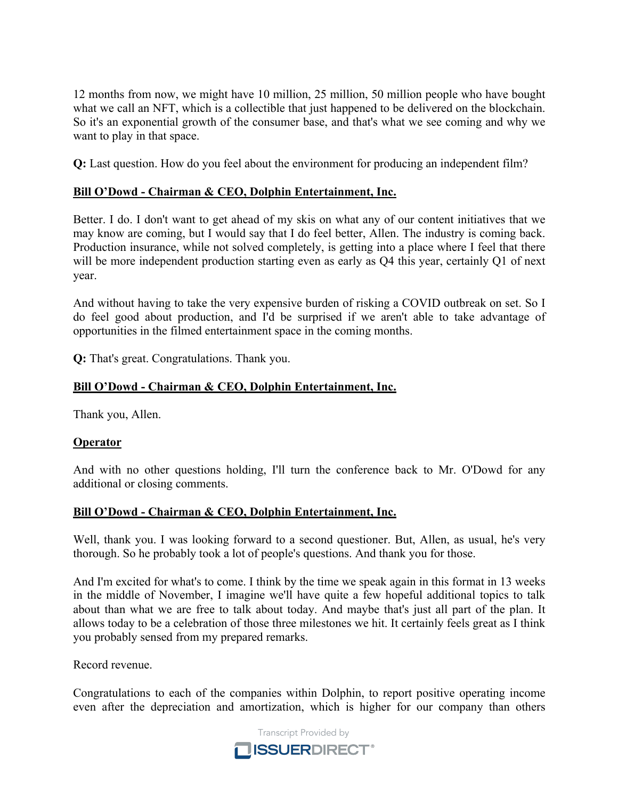12 months from now, we might have 10 million, 25 million, 50 million people who have bought what we call an NFT, which is a collectible that just happened to be delivered on the blockchain. So it's an exponential growth of the consumer base, and that's what we see coming and why we want to play in that space.

**Q:** Last question. How do you feel about the environment for producing an independent film?

# **Bill O'Dowd - Chairman & CEO, Dolphin Entertainment, Inc.**

Better. I do. I don't want to get ahead of my skis on what any of our content initiatives that we may know are coming, but I would say that I do feel better, Allen. The industry is coming back. Production insurance, while not solved completely, is getting into a place where I feel that there will be more independent production starting even as early as Q4 this year, certainly Q1 of next year.

And without having to take the very expensive burden of risking a COVID outbreak on set. So I do feel good about production, and I'd be surprised if we aren't able to take advantage of opportunities in the filmed entertainment space in the coming months.

**Q:** That's great. Congratulations. Thank you.

# **Bill O'Dowd - Chairman & CEO, Dolphin Entertainment, Inc.**

Thank you, Allen.

# **Operator**

And with no other questions holding, I'll turn the conference back to Mr. O'Dowd for any additional or closing comments.

# **Bill O'Dowd - Chairman & CEO, Dolphin Entertainment, Inc.**

Well, thank you. I was looking forward to a second questioner. But, Allen, as usual, he's very thorough. So he probably took a lot of people's questions. And thank you for those.

And I'm excited for what's to come. I think by the time we speak again in this format in 13 weeks in the middle of November, I imagine we'll have quite a few hopeful additional topics to talk about than what we are free to talk about today. And maybe that's just all part of the plan. It allows today to be a celebration of those three milestones we hit. It certainly feels great as I think you probably sensed from my prepared remarks.

Record revenue.

Congratulations to each of the companies within Dolphin, to report positive operating income even after the depreciation and amortization, which is higher for our company than others